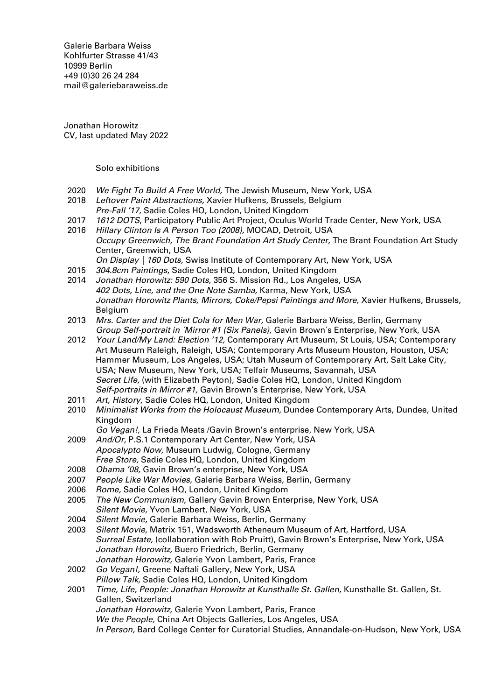Galerie Barbara Weiss [Kohlfurter Strasse 41/43](https://goo.gl/maps/ZQcePopa6uu3a3k19) [10999 Berlin](https://goo.gl/maps/ZQcePopa6uu3a3k19) +49 (0)30 26 24 284 [mail@galeriebaraweiss.de](mailto:mail@galeriebarbaraweiss.de)

Jonathan Horowitz CV, last updated May 2022

Solo exhibitions

- 2020 We Fight To Build A Free World, The Jewish Museum, New York, USA
- 2018 Leftover Paint Abstractions, Xavier Hufkens, Brussels, Belgium
- Pre-Fall '17, Sadie Coles HQ, London, United Kingdom
- 2017 1612 DOTS, Participatory Public Art Project, Oculus World Trade Center, New York, USA 2016 Hillary Clinton Is A Person Too (2008), MOCAD, Detroit, USA Occupy Greenwich, The Brant Foundation Art Study Center, The Brant Foundation Art Study Center, Greenwich, USA
- On Display | 160 Dots, Swiss Institute of Contemporary Art, New York, USA
- 2015 304.8cm Paintings, Sadie Coles HQ, London, United Kingdom
- 2014 Jonathan Horowitz: 590 Dots, 356 S. Mission Rd., Los Angeles, USA 402 Dots, Line, and the One Note Samba, Karma, New York, USA Jonathan Horowitz Plants, Mirrors, Coke/Pepsi Paintings and More, Xavier Hufkens, Brussels, Belgium
- 2013 Mrs. Carter and the Diet Cola for Men War, Galerie Barbara Weiss, Berlin, Germany Group Self-portrait in ´Mirror #1 (Six Panels), Gavin Brown´s Enterprise, New York, USA
- 2012 Your Land/My Land: Election '12, Contemporary Art Museum, St Louis, USA; Contemporary Art Museum Raleigh, Raleigh, USA; Contemporary Arts Museum Houston, Houston, USA; Hammer Museum, Los Angeles, USA; Utah Museum of Contemporary Art, Salt Lake City, USA; New Museum, New York, USA; Telfair Museums, Savannah, USA Secret Life, (with Elizabeth Peyton), Sadie Coles HQ, London, United Kingdom Self-portraits in Mirror #1, Gavin Brown's Enterprise, New York, USA
- 2011 Art, History, Sadie Coles HQ, London, United Kingdom
- 2010 Minimalist Works from the Holocaust Museum, Dundee Contemporary Arts, Dundee, United Kingdom
	- Go Vegan!, La Frieda Meats /Gavin Brown's enterprise, New York, USA
- 2009 And/Or, P.S.1 Contemporary Art Center, New York, USA Apocalypto Now, Museum Ludwig, Cologne, Germany Free Store, Sadie Coles HQ, London, United Kingdom
- 2008 *Obama '08,* Gavin Brown's enterprise, New York, USA<br>2007 *People Like War Movies*, Galerie Barbara Weiss, Berlin
- People Like War Movies, Galerie Barbara Weiss, Berlin, Germany
- 2006 Rome, Sadie Coles HQ, London, United Kingdom
- 2005 The New Communism, Gallery Gavin Brown Enterprise, New York, USA Silent Movie, Yvon Lambert, New York, USA
- 2004 Silent Movie, Galerie Barbara Weiss, Berlin, Germany
- 2003 Silent Movie, Matrix 151, Wadsworth Atheneum Museum of Art, Hartford, USA Surreal Estate, (collaboration with Rob Pruitt), Gavin Brown's Enterprise, New York, USA Jonathan Horowitz, Buero Friedrich, Berlin, Germany Jonathan Horowitz, Galerie Yvon Lambert, Paris, France
- 2002 Go Vegan!, Greene Naftali Gallery, New York, USA Pillow Talk, Sadie Coles HQ, London, United Kingdom
- 2001 Time, Life, People: Jonathan Horowitz at Kunsthalle St. Gallen, Kunsthalle St. Gallen, St. Gallen, Switzerland Jonathan Horowitz, Galerie Yvon Lambert, Paris, France We the People, China Art Objects Galleries, Los Angeles, USA In Person, Bard College Center for Curatorial Studies, Annandale-on-Hudson, New York, USA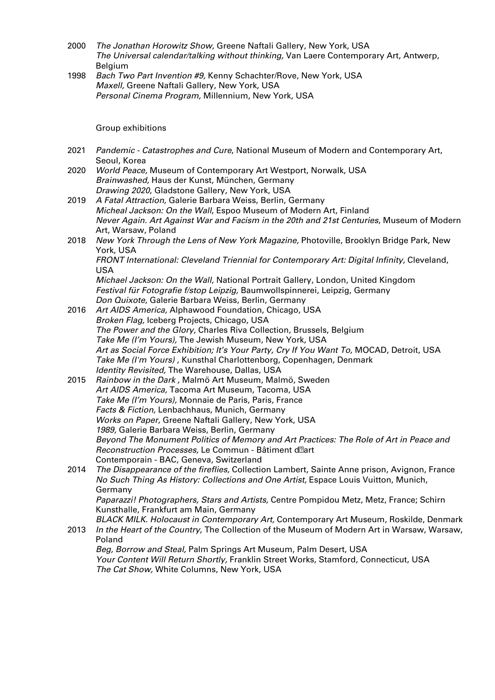- 2000 The Jonathan Horowitz Show, Greene Naftali Gallery, New York, USA The Universal calendar/talking without thinking, Van Laere Contemporary Art, Antwerp, Belgium
- 1998 Bach Two Part Invention #9, Kenny Schachter/Rove, New York, USA Maxell, Greene Naftali Gallery, New York, USA Personal Cinema Program, Millennium, New York, USA

## Group exhibitions

- 2021 Pandemic Catastrophes and Cure, National Museum of Modern and Contemporary Art, Seoul, Korea
- 2020 World Peace, Museum of Contemporary Art Westport, Norwalk, USA Brainwashed, Haus der Kunst, München, Germany Drawing 2020, Gladstone Gallery, New York, USA
- 2019 A Fatal Attraction, Galerie Barbara Weiss, Berlin, Germany Micheal Jackson: On the Wall, Espoo Museum of Modern Art, Finland Never Again. Art Against War and Facism in the 20th and 21st Centuries, Museum of Modern Art, Warsaw, Poland
- 2018 New York Through the Lens of New York Magazine, Photoville, Brooklyn Bridge Park, New York, USA FRONT International: Cleveland Triennial for Contemporary Art: Digital Infinity, Cleveland,

USA

Michael Jackson: On the Wall, National Portrait Gallery, London, United Kingdom Festival für Fotografie f/stop Leipzig, Baumwollspinnerei, Leipzig, Germany Don Quixote, Galerie Barbara Weiss, Berlin, Germany

- 2016 Art AIDS America, Alphawood Foundation, Chicago, USA Broken Flag, Iceberg Projects, Chicago, USA The Power and the Glory, Charles Riva Collection, Brussels, Belgium Take Me (I'm Yours), The Jewish Museum, New York, USA Art as Social Force Exhibition; It's Your Party, Cry If You Want To, MOCAD, Detroit, USA Take Me (I'm Yours) , Kunsthal Charlottenborg, Copenhagen, Denmark Identity Revisited, The Warehouse, Dallas, USA
- 2015 Rainbow in the Dark, Malmö Art Museum, Malmö, Sweden Art AIDS America, Tacoma Art Museum, Tacoma, USA Take Me (I'm Yours), Monnaie de Paris, Paris, France Facts & Fiction, Lenbachhaus, Munich, Germany Works on Paper, Greene Naftali Gallery, New York, USA 1989, Galerie Barbara Weiss, Berlin, Germany Beyond The Monument Politics of Memory and Art Practices: The Role of Art in Peace and Reconstruction Processes, Le Commun - Bâtiment dart Contemporain - BAC, Geneva, Switzerland
- 2014 The Disappearance of the fireflies, Collection Lambert, Sainte Anne prison, Avignon, France No Such Thing As History: Collections and One Artist, Espace Louis Vuitton, Munich, Germany Paparazzi! Photographers, Stars and Artists, Centre Pompidou Metz, Metz, France; Schirn Kunsthalle, Frankfurt am Main, Germany

BLACK MILK. Holocaust in Contemporary Art, Contemporary Art Museum, Roskilde, Denmark

2013 In the Heart of the Country, The Collection of the Museum of Modern Art in Warsaw, Warsaw, Poland

Beg, Borrow and Steal, Palm Springs Art Museum, Palm Desert, USA Your Content Will Return Shortly, Franklin Street Works, Stamford, Connecticut, USA The Cat Show, White Columns, New York, USA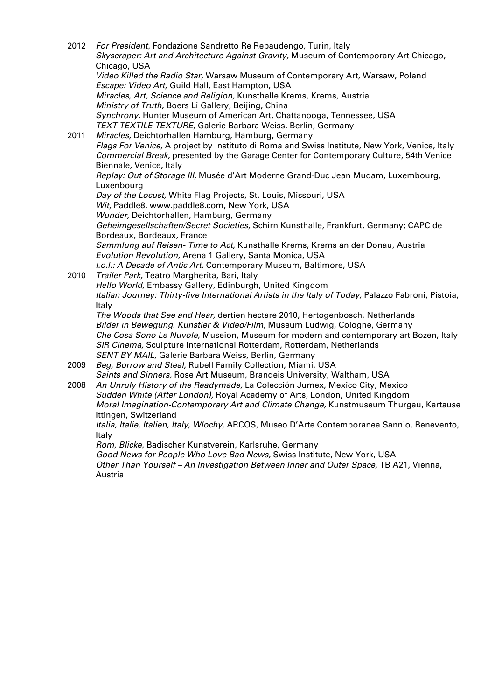| 2012 | For President, Fondazione Sandretto Re Rebaudengo, Turin, Italy                                                                                                |
|------|----------------------------------------------------------------------------------------------------------------------------------------------------------------|
|      | Skyscraper: Art and Architecture Against Gravity, Museum of Contemporary Art Chicago,                                                                          |
|      | Chicago, USA<br>Video Killed the Radio Star, Warsaw Museum of Contemporary Art, Warsaw, Poland                                                                 |
|      | Escape: Video Art, Guild Hall, East Hampton, USA                                                                                                               |
|      | Miracles, Art, Science and Religion, Kunsthalle Krems, Krems, Austria                                                                                          |
|      | Ministry of Truth, Boers Li Gallery, Beijing, China                                                                                                            |
|      | Synchrony, Hunter Museum of American Art, Chattanooga, Tennessee, USA                                                                                          |
|      | <b>TEXT TEXTILE TEXTURE, Galerie Barbara Weiss, Berlin, Germany</b>                                                                                            |
| 2011 | Miracles, Deichtorhallen Hamburg, Hamburg, Germany                                                                                                             |
|      | Flags For Venice, A project by Instituto di Roma and Swiss Institute, New York, Venice, Italy                                                                  |
|      | Commercial Break, presented by the Garage Center for Contemporary Culture, 54th Venice<br>Biennale, Venice, Italy                                              |
|      | Replay: Out of Storage III, Musée d'Art Moderne Grand-Duc Jean Mudam, Luxembourg,                                                                              |
|      | Luxenbourg                                                                                                                                                     |
|      | Day of the Locust, White Flag Projects, St. Louis, Missouri, USA                                                                                               |
|      | Wit, Paddle8, www.paddle8.com, New York, USA                                                                                                                   |
|      | Wunder, Deichtorhallen, Hamburg, Germany                                                                                                                       |
|      | Geheimgesellschaften/Secret Societies, Schirn Kunsthalle, Frankfurt, Germany; CAPC de                                                                          |
|      | Bordeaux, Bordeaux, France<br>Sammlung auf Reisen- Time to Act, Kunsthalle Krems, Krems an der Donau, Austria                                                  |
|      | Evolution Revolution, Arena 1 Gallery, Santa Monica, USA                                                                                                       |
|      | I.o.I.: A Decade of Antic Art, Contemporary Museum, Baltimore, USA                                                                                             |
| 2010 | Trailer Park, Teatro Margherita, Bari, Italy                                                                                                                   |
|      | Hello World, Embassy Gallery, Edinburgh, United Kingdom                                                                                                        |
|      | Italian Journey: Thirty-five International Artists in the Italy of Today, Palazzo Fabroni, Pistoia,                                                            |
|      | Italy                                                                                                                                                          |
|      | The Woods that See and Hear, dertien hectare 2010, Hertogenbosch, Netherlands                                                                                  |
|      | Bilder in Bewegung. Künstler & Video/Film, Museum Ludwig, Cologne, Germany                                                                                     |
|      | Che Cosa Sono Le Nuvole, Museion, Museum for modern and contemporary art Bozen, Italy<br>SIR Cinema, Sculpture International Rotterdam, Rotterdam, Netherlands |
|      | SENT BY MAIL, Galerie Barbara Weiss, Berlin, Germany                                                                                                           |
| 2009 | Beg, Borrow and Steal, Rubell Family Collection, Miami, USA                                                                                                    |
|      | Saints and Sinners, Rose Art Museum, Brandeis University, Waltham, USA                                                                                         |
| 2008 | An Unruly History of the Readymade, La Colección Jumex, Mexico City, Mexico                                                                                    |
|      | Sudden White (After London), Royal Academy of Arts, London, United Kingdom                                                                                     |
|      | Moral Imagination-Contemporary Art and Climate Change, Kunstmuseum Thurgau, Kartause                                                                           |
|      | Ittingen, Switzerland                                                                                                                                          |
|      | Italia, Italie, Italien, Italy, Wlochy, ARCOS, Museo D'Arte Contemporanea Sannio, Benevento,<br>Italy                                                          |
|      | Rom, Blicke, Badischer Kunstverein, Karlsruhe, Germany                                                                                                         |
|      |                                                                                                                                                                |

Good News for People Who Love Bad News, Swiss Institute, New York, USA Other Than Yourself – An Investigation Between Inner and Outer Space, TB A21, Vienna, Austria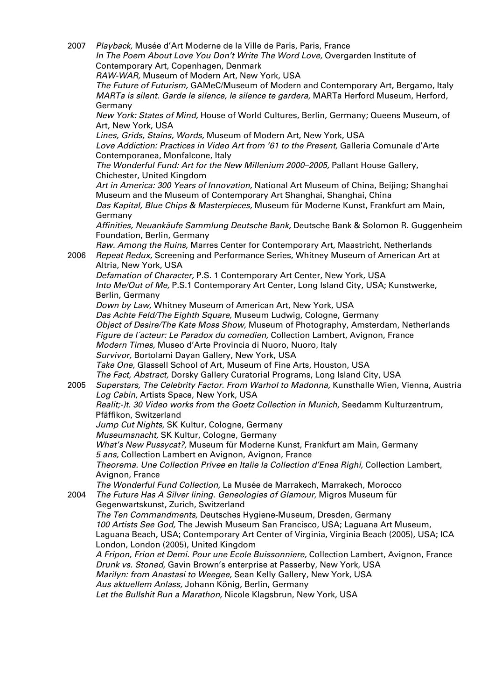2007 Playback, Musée d'Art Moderne de la Ville de Paris, Paris, France In The Poem About Love You Don't Write The Word Love, Overgarden Institute of Contemporary Art, Copenhagen, Denmark RAW-WAR, Museum of Modern Art, New York, USA The Future of Futurism, GAMeC/Museum of Modern and Contemporary Art, Bergamo, Italy MARTa is silent. Garde le silence, le silence te gardera, MARTa Herford Museum, Herford, Germany New York: States of Mind, House of World Cultures, Berlin, Germany; Queens Museum, of Art, New York, USA Lines, Grids, Stains, Words, Museum of Modern Art, New York, USA Love Addiction: Practices in Video Art from '61 to the Present, Galleria Comunale d'Arte Contemporanea, Monfalcone, Italy The Wonderful Fund: Art for the New Millenium 2000–2005, Pallant House Gallery, Chichester, United Kingdom Art in America: 300 Years of Innovation, National Art Museum of China, Beijing; Shanghai Museum and the Museum of Contemporary Art Shanghai, Shanghai, China Das Kapital, Blue Chips & Masterpieces, Museum für Moderne Kunst, Frankfurt am Main, Germany Affinities, Neuankäufe Sammlung Deutsche Bank, Deutsche Bank & Solomon R. Guggenheim Foundation, Berlin, Germany Raw. Among the Ruins, Marres Center for Contemporary Art, Maastricht, Netherlands 2006 Repeat Redux, Screening and Performance Series, Whitney Museum of American Art at Altria, New York, USA Defamation of Character, P.S. 1 Contemporary Art Center, New York, USA Into Me/Out of Me, P.S.1 Contemporary Art Center, Long Island City, USA; Kunstwerke, Berlin, Germany Down by Law, Whitney Museum of American Art, New York, USA Das Achte Feld/The Eighth Square, Museum Ludwig, Cologne, Germany Object of Desire/The Kate Moss Show, Museum of Photography, Amsterdam, Netherlands Figure de l´acteur: Le Paradox du comedien, Collection Lambert, Avignon, France Modern Times, Museo d'Arte Provincia di Nuoro, Nuoro, Italy Survivor, Bortolami Dayan Gallery, New York, USA Take One, Glassell School of Art, Museum of Fine Arts, Houston, USA The Fact, Abstract, Dorsky Gallery Curatorial Programs, Long Island City, USA 2005 Superstars, The Celebrity Factor. From Warhol to Madonna, Kunsthalle Wien, Vienna, Austria Log Cabin, Artists Space, New York, USA Realit;-)t. 30 Video works from the Goetz Collection in Munich, Seedamm Kulturzentrum, Pfäffikon, Switzerland Jump Cut Nights, SK Kultur, Cologne, Germany Museumsnacht, SK Kultur, Cologne, Germany What's New Pussycat?, Museum für Moderne Kunst, Frankfurt am Main, Germany 5 ans, Collection Lambert en Avignon, Avignon, France Theorema. Une Collection Privee en Italie la Collection d'Enea Righi, Collection Lambert, Avignon, France The Wonderful Fund Collection, La Musée de Marrakech, Marrakech, Morocco 2004 The Future Has A Silver lining. Geneologies of Glamour, Migros Museum für Gegenwartskunst, Zurich, Switzerland The Ten Commandments, Deutsches Hygiene-Museum, Dresden, Germany 100 Artists See God, The Jewish Museum San Francisco, USA; Laguana Art Museum, Laguana Beach, USA; Contemporary Art Center of Virginia, Virginia Beach (2005), USA; ICA London, London (2005), United Kingdom A Fripon, Frion et Demi. Pour une Ecole Buissonniere, Collection Lambert, Avignon, France Drunk vs. Stoned, Gavin Brown's enterprise at Passerby, New York, USA Marilyn: from Anastasi to Weegee, Sean Kelly Gallery, New York, USA Aus aktuellem Anlass, Johann König, Berlin, Germany Let the Bullshit Run a Marathon, Nicole Klagsbrun, New York, USA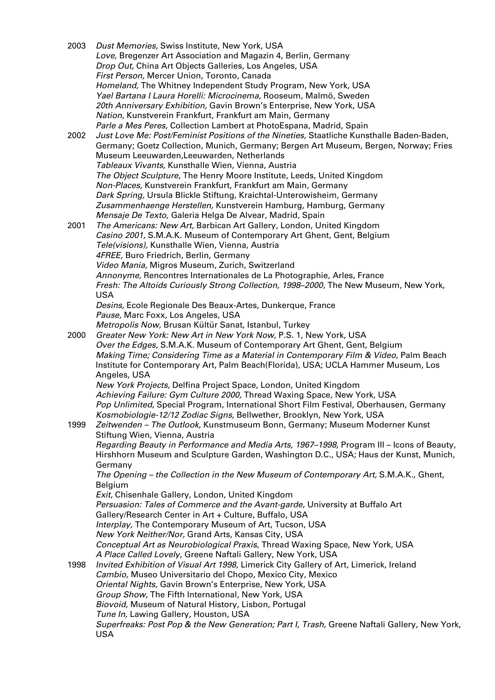2003 Dust Memories, Swiss Institute, New York, USA Love, Bregenzer Art Association and Magazin 4, Berlin, Germany Drop Out, China Art Objects Galleries, Los Angeles, USA First Person, Mercer Union, Toronto, Canada Homeland, The Whitney Independent Study Program, New York, USA Yael Bartana I Laura Horelli: Microcinema, Rooseum, Malmö, Sweden 20th Anniversary Exhibition, Gavin Brown's Enterprise, New York, USA Nation, Kunstverein Frankfurt, Frankfurt am Main, Germany Parle a Mes Peres, Collection Lambert at PhotoEspana, Madrid, Spain 2002 Just Love Me: Post/Feminist Positions of the Nineties, Staatliche Kunsthalle Baden-Baden, Germany; Goetz Collection, Munich, Germany; Bergen Art Museum, Bergen, Norway; Fries Museum Leeuwarden,Leeuwarden, Netherlands Tableaux Vivants, Kunsthalle Wien, Vienna, Austria The Object Sculpture, The Henry Moore Institute, Leeds, United Kingdom Non-Places, Kunstverein Frankfurt, Frankfurt am Main, Germany Dark Spring, Ursula Blickle Stiftung, Kraichtal-Unterowisheim, Germany Zusammenhaenge Herstellen, Kunstverein Hamburg, Hamburg, Germany Mensaje De Texto, Galeria Helga De Alvear, Madrid, Spain 2001 The Americans: New Art, Barbican Art Gallery, London, United Kingdom Casino 2001, S.M.A.K. Museum of Contemporary Art Ghent, Gent, Belgium Tele(visions), Kunsthalle Wien, Vienna, Austria 4FREE, Buro Friedrich, Berlin, Germany Video Mania, Migros Museum, Zurich, Switzerland Annonyme, Rencontres Internationales de La Photographie, Arles, France Fresh: The Altoids Curiously Strong Collection, 1998–2000, The New Museum, New York, USA Desins, Ecole Regionale Des Beaux-Artes, Dunkerque, France Pause, Marc Foxx, Los Angeles, USA Metropolis Now, Brusan Kültür Sanat, Istanbul, Turkey 2000 Greater New York: New Art in New York Now, P.S. 1, New York, USA Over the Edges, S.M.A.K. Museum of Contemporary Art Ghent, Gent, Belgium Making Time; Considering Time as a Material in Contemporary Film & Video, Palm Beach Institute for Contemporary Art, Palm Beach(Florida), USA; UCLA Hammer Museum, Los Angeles, USA New York Projects, Delfina Project Space, London, United Kingdom Achieving Failure: Gym Culture 2000, Thread Waxing Space, New York, USA Pop Unlimited, Special Program, International Short Film Festival, Oberhausen, Germany Kosmobiologie-12/12 Zodiac Signs, Bellwether, Brooklyn, New York, USA 1999 Zeitwenden – The Outlook, Kunstmuseum Bonn, Germany: Museum Moderner Kunst Stiftung Wien, Vienna, Austria Regarding Beauty in Performance and Media Arts, 1967–1998, Program III – Icons of Beauty, Hirshhorn Museum and Sculpture Garden, Washington D.C., USA; Haus der Kunst, Munich, Germany The Opening – the Collection in the New Museum of Contemporary Art, S.M.A.K., Ghent, Belgium Exit, Chisenhale Gallery, London, United Kingdom Persuasion: Tales of Commerce and the Avant-garde, University at Buffalo Art Gallery/Research Center in Art + Culture, Buffalo, USA Interplay, The Contemporary Museum of Art, Tucson, USA New York Neither/Nor, Grand Arts, Kansas City, USA Conceptual Art as Neurobiological Praxis, Thread Waxing Space, New York, USA A Place Called Lovely, Greene Naftali Gallery, New York, USA 1998 Invited Exhibition of Visual Art 1998, Limerick City Gallery of Art, Limerick, Ireland Cambio, Museo Universitario del Chopo, Mexico City, Mexico Oriental Nights, Gavin Brown's Enterprise, New York, USA Group Show, The Fifth International, New York, USA Biovoid, Museum of Natural History, Lisbon, Portugal Tune In, Lawing Gallery, Houston, USA Superfreaks: Post Pop & the New Generation; Part I, Trash, Greene Naftali Gallery, New York, USA